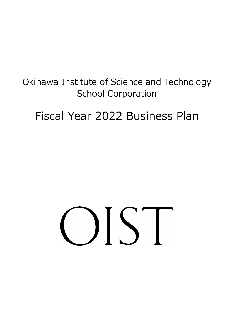# Okinawa Institute of Science and Technology School Corporation

# Fiscal Year 2022 Business Plan

# OST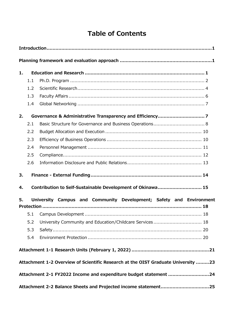# **Table of Contents**

| 1.       |     |  |  |  |  |                                                              |                                                                                   |
|----------|-----|--|--|--|--|--------------------------------------------------------------|-----------------------------------------------------------------------------------|
|          | 1.1 |  |  |  |  |                                                              |                                                                                   |
|          | 1.2 |  |  |  |  |                                                              |                                                                                   |
|          | 1.3 |  |  |  |  |                                                              |                                                                                   |
|          | 1.4 |  |  |  |  |                                                              |                                                                                   |
| 2.       |     |  |  |  |  |                                                              |                                                                                   |
|          | 2.1 |  |  |  |  |                                                              |                                                                                   |
|          | 2.2 |  |  |  |  |                                                              |                                                                                   |
|          | 2.3 |  |  |  |  |                                                              |                                                                                   |
|          | 2.4 |  |  |  |  |                                                              |                                                                                   |
|          | 2.5 |  |  |  |  |                                                              |                                                                                   |
|          | 2.6 |  |  |  |  |                                                              |                                                                                   |
| 3.<br>4. |     |  |  |  |  | Contribution to Self-Sustainable Development of Okinawa 15   |                                                                                   |
| 5.       |     |  |  |  |  |                                                              | University Campus and Community Development; Safety and Environment               |
|          | 5.1 |  |  |  |  |                                                              |                                                                                   |
|          |     |  |  |  |  | 5.2 University Community and Education/Childcare Services 18 |                                                                                   |
|          | 5.3 |  |  |  |  |                                                              |                                                                                   |
|          | 5.4 |  |  |  |  |                                                              |                                                                                   |
|          |     |  |  |  |  |                                                              |                                                                                   |
|          |     |  |  |  |  |                                                              | Attachment 1-2 Overview of Scientific Research at the OIST Graduate University 23 |
|          |     |  |  |  |  |                                                              | Attachment 2-1 FY2022 Income and expenditure budget statement 24                  |
|          |     |  |  |  |  |                                                              |                                                                                   |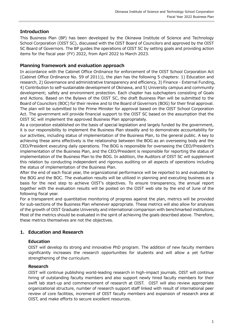# <span id="page-4-0"></span>**Introduction**

This Business Plan (BP) has been developed by the Okinawa Institute of Science and Technology School Corporation (OIST SC), discussed with the OIST Board of Councilors and approved by the OIST SC Board of Governors. The BP guides the operations of OIST SC by setting goals and providing action items for the fiscal year (FY) 2022, from April 2022 to March 2023.

# <span id="page-4-1"></span>**Planning framework and evaluation approach**

In accordance with the Cabinet Office Ordinance for enforcement of the OIST School Corporation Act (Cabinet Office Ordinance No. 59 of 2011)), the plan has the following 5 chapters: 1) Education and research, 2) Governance and administrative transparency and efficiency, 3) Finance - External Funding, 4) Contribution to self-sustainable development of Okinawa, and 5) University campus and community development; safety and environment protection. Each chapter has subchapters consisting of Goals and Actions. Based on the Bylaws of the OIST SC, the draft Business Plan will be submitted to the Board of Councilors (BOC) for their review and to the Board of Governors (BOG) for their final approval. The plan will be submitted to the Prime Minister for approval based on the OIST School Corporation Act. The government will provide financial support to the OIST SC based on the assumption that the OIST SC will implement the approved Business Plan appropriately.

As a corporation established on the basis of special legislation and largely funded by the government, it is our responsibility to implement the Business Plan steadily and to demonstrate accountability for our activities, including status of implementation of the Business Plan, to the general public. A key to achieving these aims effectively is the relationship between the BOG as an overseeing body and the CEO/President executing daily operations. The BOG is responsible for overseeing the CEO/President's implementation of the Business Plan, and the CEO/President is responsible for reporting the status of implementation of the Business Plan to the BOG. In addition, the Auditors of OIST SC will supplement this relation by conducting independent and rigorous auditing on all aspects of operations including the status of implementation of the Business Plan.

After the end of each fiscal year, the organizational performance will be reported to and evaluated by the BOG and the BOC. The evaluation results will be utilized in planning and executing business as a basis for the next step to achieve OIST's objectives. To ensure transparency, the annual report together with the evaluation results will be posted on the OIST web site by the end of June of the following fiscal year.

For a transparent and quantitative monitoring of progress against the plan, metrics will be provided for sub-sections of the Business Plan whenever appropriate. These metrics will also allow for analyses of the growth of OIST Graduate University and international comparison with benchmarked institutions. Most of the metrics should be evaluated in the spirit of achieving the goals described above. Therefore, these metrics themselves are not the objectives.

# <span id="page-4-2"></span>**1. Education and Research**

# **Education**

OIST will develop its strong and innovative PhD program. The addition of new faculty members significantly increases the research opportunities for students and will allow a yet further strengthening of the curriculum.

# **Research**

OIST will continue publishing world-leading research in high-impact journals. OIST will continue hiring of outstanding faculty members and also support newly hired faculty members for their swift lab start-up and commencement of research at OIST. OIST will also review appropriate organizational structure, number of research support staff linked with result of international peer review of core facilities, increment of OIST faculty members and expansion of research area at OIST, and make efforts to secure excellent resources.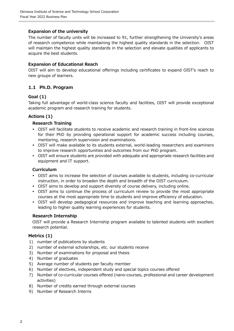# **Expansion of the university**

The number of faculty units will be increased to 91, further strengthening the University's areas of research competence while maintaining the highest quality standards in the selection. OIST will maintain the highest quality standards in the selection and elevate qualities of applicants to acquire the best students.

#### **Expansion of Educational Reach**

OIST will aim to develop educational offerings including certificates to expand OIST's reach to new groups of learners.

# <span id="page-5-0"></span>**1.1 Ph.D. Program**

#### **Goal (1)**

Taking full advantage of world-class science faculty and facilities, OIST will provide exceptional academic program and research training for students.

#### **Actions (1)**

#### **Research Training**

- OIST will facilitate students to receive academic and research training in front-line sciences for their PhD by providing operational support for academic success including courses, mentoring, research supervision and examinations.
- OIST will make available to its students external, world-leading researchers and examiners to improve research opportunities and outcomes from our PhD program.
- OIST will ensure students are provided with adequate and appropriate research facilities and equipment and IT support.

#### **Curriculum**

- OIST aims to increase the selection of courses available to students, including co-curricular instruction, in order to broaden the depth and breadth of the OIST curriculum.
- OIST aims to develop and support diversity of course delivery, including online.
- OIST aims to continue the process of curriculum review to provide the most appropriate courses at the most appropriate time to students and improve efficiency of education.
- OIST will develop pedagogical resources and improve teaching and learning approaches, leading to higher quality learning experiences for students.

#### **Research Internship**

OIST will provide a Research Internship program available to talented students with excellent research potential.

#### **Metrics (1)**

- 1) number of publications by students
- 2) number of external scholarships, etc. our students receive
- 3) Number of examinations for proposal and thesis
- 4) Number of graduates
- 5) Average number of students per faculty member
- 6) Number of electives, independent study and special topics courses offered
- 7) Number of co-curricular courses offered (nano-courses, professional and career development activities)
- 8) Number of credits earned through external courses
- 9) Number of Research Interns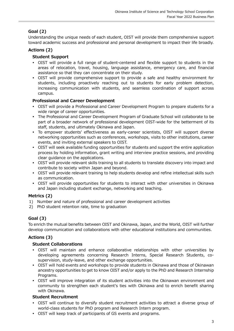# **Goal (2)**

Understanding the unique needs of each student, OIST will provide them comprehensive support toward academic success and professional and personal development to impact their life broadly.

# **Actions (2)**

# **Student Support**

- OIST will provide a full range of student-centered and flexible support to students in the areas of relocation, travel, housing, language assistance, emergency care, and financial assistance so that they can concentrate on their study.
- OIST will provide comprehensive support to provide a safe and healthy environment for students, including proactively reaching out to students for early problem detection, increasing communication with students, and seamless coordination of support across campus.

# **Professional and Career Development**

- OIST will provide a Professional and Career Development Program to prepare students for a wide range of career opportunities.
- The Professional and Career Development Program of Graduate School will collaborate to be part of a broader network of professional development OIST-wide for the betterment of its staff, students, and ultimately Okinawa and Japan.
- To empower students' effectiveness as early-career scientists, OIST will support diverse networking opportunities such as conferences, workshops, visits to other institutions, career events, and inviting external speakers to OIST.
- OIST will seek available funding opportunities for students and support the entire application process by holding information, grant writing and interview practice sessions, and providing clear guidance on the applications.
- OIST will provide relevant skills training to all students to translate discovery into impact and contribute to society within Japan and beyond.
- OIST will provide relevant training to help students develop and refine intellectual skills such as communication.
- OIST will provide opportunities for students to interact with other universities in Okinawa and Japan including student exchange, networking and teaching.

# **Metrics (2)**

- 1) Number and nature of professional and career development activities
- 2) PhD student retention rate, time to graduation

# **Goal (3)**

To enrich the mutual benefits between OIST and Okinawa, Japan, and the World, OIST will further develop communication and collaborations with other educational institutions and communities.

# **Actions (3)**

# **Student Collaborations**

- OIST will maintain and enhance collaborative relationships with other universities by developing agreements concerning Research Interns, Special Research Students, cosupervision, study-leave, and other exchange opportunities.
- OIST will hold events and workshops to provide students in Okinawa and those of Okinawan ancestry opportunities to get to know OIST and/or apply to the PhD and Research Internship Programs.
- OIST will improve integration of its student activities into the Okinawan environment and community to strengthen each student's ties with Okinawa and to enrich benefit sharing with Okinawa.

#### **Student Recruitment**

- OIST will continue to diversify student recruitment activities to attract a diverse group of world-class students for PhD program and Research Intern program.
- OIST will keep track of participants of GS events and programs.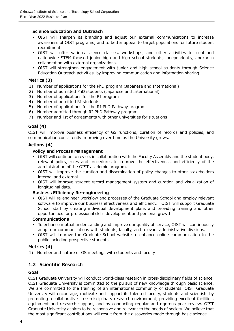# **Science Education and Outreach**

- OIST will sharpen its branding and adjust our external communications to increase awareness of OIST programs, and to better appeal to target populations for future student recruitment.
- OIST will offer various science classes, workshops, and other activities to local and nationwide STEM-focused junior high and high school students, independently, and/or in collaboration with external organizations.
- OIST will strengthen engagement with junior and high school students through Science Education Outreach activities, by improving communication and information sharing.

#### **Metrics (3)**

- 1) Number of applications for the PhD program (Japanese and International)
- 2) Number of admitted PhD students (Japanese and International)
- 3) Number of applications for the RI program
- 4) Number of admitted RI students
- 5) Number of applications for the RI-PhD Pathway program
- 6) Number admitted through RI-PhD Pathway program
- 7) Number and list of agreements with other universities for situations

#### **Goal (4)**

OIST will improve business efficiency of GS functions, curation of records and policies, and communication consistently improving over time as the University grows.

#### **Actions (4)**

#### **Policy and Process Management**

- OIST will continue to revise, in collaboration with the Faculty Assembly and the student body, relevant policy, rules and procedures to improve the effectiveness and efficiency of the administration of the OIST academic program.
- OIST will improve the curation and dissemination of policy changes to other stakeholders internal and external.
- OIST will improve student record management system and curation and visualization of longitudinal data.

#### **Business Efficiency Re-engineering**

 OIST will re-engineer workflow and processes of the Graduate School and employ relevant software to improve our business effectiveness and efficiency. OIST will support Graduate School staff by creating individual development plans and providing training and other opportunities for professional skills development and personal growth.

#### **Communications**

- To enhance mutual understanding and improve our quality of service, OIST will continuously adapt our communications with students, faculty, and relevant administrative divisions.
- OIST will improve the Graduate School website to enhance online communication to the public including prospective students.

#### **Metrics (4)**

<span id="page-7-0"></span>1) Number and nature of GS meetings with students and faculty

# **1.2 Scientific Research**

#### **Goal**

OIST Graduate University will conduct world-class research in cross-disciplinary fields of science. OIST Graduate University is committed to the pursuit of new knowledge through basic science. We are committed to the training of an international community of students. OIST Graduate University will encourage, motivate and support its talented faculty, students and scientists by promoting a collaborative cross-disciplinary research environment, providing excellent facilities, equipment and research support, and by conducting regular and rigorous peer review. OIST Graduate University aspires to be responsive and relevant to the needs of society. We believe that the most significant contributions will result from the discoveries made through basic science.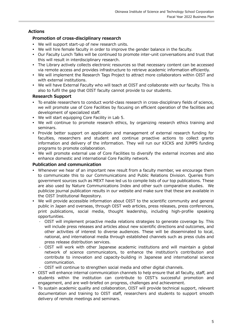# **Actions**

# **Promotion of cross-disciplinary research**

- We will support start-up of new research units.
- We will hire female faculty in order to improve the gender balance in the faculty.
- Our Faculty Lunch Talks will be continued to promote inter-unit conversations and trust that this will result in interdisciplinary research.
- The Library actively collects electronic resources so that necessary content can be accessed via remote access and provides infrastructure to retrieve academic information efficiently.
- We will implement the Research Tags Project to attract more collaborators within OIST and with external institutions.
- We will have External Faculty who will teach at OIST and collaborate with our faculty. This is also to fulfil the gap that OIST faculty cannot provide to our students.

# **Research Support**

- To enable researchers to conduct world-class research in cross-disciplinary fields of science, we will promote use of Core Facilities by focusing on efficient operation of the facilities and development of specialized staff.
- We will start equipping Core Facility in Lab 5.
- We will continue to promote research ethics, by organizing research ethics training and seminars.
- Provide better support on application and management of external research funding for faculties, researchers and student and continue proactive actions to collect grants information and delivery of the information. They will run our KICKS and JUMPS funding programs to promote collaboration.
- We will promote external use of Core Facilities to diversify the external incomes and also enhance domestic and international Core Facility network.

# **Publication and communication**

- Whenever we hear of an important new result from a faculty member, we encourage them to communicate this to our Communications and Public Relations Division. Queries from government sources such as MEXT have led us to compile lists of our top publications. These are also used by Nature Communications Index and other such comparative studies. We publicize journal publication results in our website and make sure that these are available in the OIST Institutional Repository.
- We will provide accessible information about OIST to the scientific community and general public in Japan and overseas, through OIST web articles, press releases, press conferences, print publications, social media, thought leadership, including high-profile speaking opportunities.
	- OIST will implement proactive media relations strategies to generate coverage by. This will include press releases and articles about new scientific directions and outcomes, and other activities of interest to diverse audiences. These will be disseminated to local, national, and international media through established channels such as press clubs and press release distribution services.
	- OIST will work with other Japanese academic institutions and will maintain a global network of science communicators, to enhance the institution's contribution and contribute to innovation and capacity-building in Japanese and international science communication.
	- OIST will continue to strengthen social media and other digital channels.
- OIST will enhance internal communication channels to help ensure that all faculty, staff, and students within the institution can contribute to OIST's successful promotion and engagement, and are well-briefed on progress, challenges and achievement.
- To sustain academic quality and collaboration, OIST will provide technical support, relevant documentation and training to OIST staff, researchers and students to support smooth delivery of remote meetings and seminars.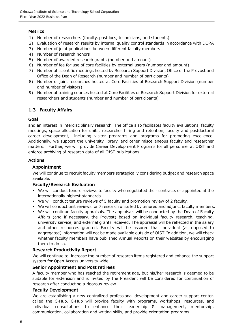# **Metrics**

- 1) Number of researchers (faculty, postdocs, technicians, and students)
- 2) Evaluation of research results by internal quality control standards in accordance with DORA
- 3) Number of joint publications between different faculty members
- 4) Number of research honors
- 5) Number of awarded research grants (number and amount)
- 6) Number of fee for use of core facilities by external users (number and amount)
- 7) Number of scientific meetings hosted by Research Support Division, Office of the Provost and Office of the Dean of Research (number and number of participants)
- 8) Number of joint researches hosted at Core Facilities of Research Support Division (number and number of visitors)
- 9) Number of training courses hosted at Core Facilities of Research Support Division for external researchers and students (number and number of participants)

#### <span id="page-9-0"></span>**1.3 Faculty Affairs**

#### **Goal**

and an interest in interdisciplinary research. The office also facilitates faculty evaluations, faculty meetings, space allocation for units, researcher hiring and retention, faculty and postdoctoral career development, including visitor programs and programs for promoting excellence. Additionally, we support the university library, and other miscellaneous faculty and researcher matters. Further, we will provide Career Development Programs for all personnel at OIST and enforce archiving of research data of all OIST publications.

#### **Actions**

#### **Appointment**

We will continue to recruit faculty members strategically considering budget and research space available.

#### **Faculty/Research Evaluation**

- We will conduct tenure reviews to faculty who negotiated their contracts or appointed at the internationally highest standards.
- We will conduct tenure reviews of 5 faculty and promotion review of 2 faculty.
- We will conduct unit reviews for 7 research units led by tenured and adjunct faculty members.
- We will continue faculty appraisals. The appraisals will be conducted by the Dean of Faculty Affairs (and if necessary, the Provost) based on individual faculty research, teaching, university service, and external grants received. The appraisal will be reflected in the salary and other resources granted. Faculty will be assured that individual (as opposed to aggregated) information will not be made available outside of OIST. In addition, we will check whether faculty members have published Annual Reports on their websites by encouraging them to do so.

#### **Research Productivity Report**

We will continue to increase the number of research items registered and enhance the support system for Open Access university wide.

#### **Senior Appointment and Post retirees**

A faculty member who has reached the retirement age, but his/her research is deemed to be suitable for extension and is invited by the President will be considered for continuation of research after conducting a rigorous review.

#### **Faculty Development**

We are establishing a new centralized professional development and career support center, called the C-Hub. C-Hub will provide faculty with programs, workshops, resources, and individual consultations to enhance their leadership & management, mentorship, communication, collaboration and writing skills, and provide orientation programs.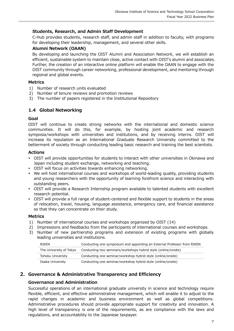# **Students, Research, and Admin Staff Development**

C-Hub provides students, research staff, and admin staff in addition to faculty, with programs for developing their leadership, management, and several other skills.

# **Alumni Network (OAAN)**

By developing and launching the OIST Alumni and Association Network, we will establish an efficient, sustainable system to maintain close, active contact with OIST's alumni and associates. Further, the creation of an interactive online platform will enable the OAAN to engage with the OIST community through career networking, professional development, and mentoring through regional and global events.

#### **Metrics**

- 1) Number of research units evaluated
- 2) Number of tenure reviews and promotion reviews
- <span id="page-10-0"></span>3) The number of papers registered in the Institutional Repository

#### **1.4 Global Networking**

#### **Goal**

OIST will continue to create strong networks with the international and domestic science communities. It will do this, for example, by hosting joint academic and research symposia/workshops with universities and institutions, and by receiving interns. OIST will increase its reputation as an International Graduate Research University committed to the betterment of society through conducting leading basic research and training the best scientists.

#### **Actions**

- OIST will provide opportunities for students to interact with other universities in Okinawa and Japan including student exchange, networking and teaching.
- OIST will focus on activities towards enhancing networking.
- We will host international courses and workshops of world-leading quality, providing students and young researchers with the opportunity of learning forefront science and interacting with outstanding peers.
- OIST will provide a Research Internship program available to talented students with excellent research potential.
- OIST will provide a full range of student-centered and flexible support to students in the areas of relocation, travel, housing, language assistance, emergency care, and financial assistance so that they can concentrate on their study.

#### **Metrics**

- 1) Number of international courses and workshops organized by OIST (14)
- 2) Impressions and feedbacks from the participants of international courses and workshops.
- 3) Number of new partnership programs and extension of existing programs with globally leading universities and institutions.

| <b>RIKFN</b>            | Conducting one symposium and appointing an External Professor from RIKEN |
|-------------------------|--------------------------------------------------------------------------|
| The University of Tokyo | Conducting two seminars/workshops hybrid style (online/onsite)           |
| Tohoku University       | Conducting one seminar/workshop hybrid style (online/onsite)             |
| Osaka University        | Conducting one seminar/workshop hybrid style (online/onsite)             |

# <span id="page-10-1"></span>**2. Governance & Administrative Transparency and Efficiency**

#### **Governance and Administration**

Successful operations of an international graduate university in science and technology require flexible, efficient, and effective administrative management, which will enable it to adjust to the rapid changes in academic and business environment as well as global competitions. Administrative procedures should provide appropriate support for creativity and innovation. A high level of transparency is one of the requirements, as are compliance with the laws and regulations, and accountability to the Japanese taxpayer.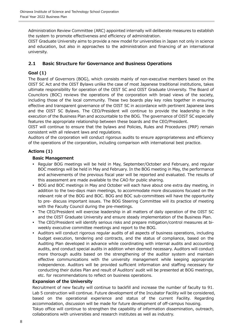Administration Review Committee (ARC) appointed internally will deliberate measures to establish the system to promote effectiveness and efficiency of administration.

OIST Graduate University aims to provide a new model for universities in Japan not only in science and education, but also in approaches to the administration and financing of an international university.

# <span id="page-11-0"></span>**2.1 Basic Structure for Governance and Business Operations**

# **Goal (1)**

The Board of Governors (BOG), which consists mainly of non-executive members based on the OIST SC Act and the OIST Bylaws unlike the case of most Japanese traditional institutions, takes ultimate responsibility for operation of the OIST SC and OIST Graduate University. The Board of Councilors (BOC) reviews the operations of the corporation with broad views of the society, including those of the local community. These two boards play key roles together in ensuring effective and transparent governance of the OIST SC in accordance with pertinent Japanese laws and the OIST SC Bylaws. The CEO/President will continue to provide the leadership in the execution of the Business Plan and accountable to the BOG. The governance of OIST SC especially features the appropriate relationship between these boards and the CEO/President.

OIST will continue to ensure that the bylaws and Policies, Rules and Procedures (PRP) remain consistent with all relevant laws and regulations.

Auditors of the corporation will conduct rigorous audits to ensure appropriateness and efficiency of the operations of the corporation, including comparison with international best practice.

# **Actions (1)**

#### **Basic Management**

- Regular BOG meetings will be held in May, September/October and February, and regular BOC meetings will be held in May and February. In the BOG meeting in May, the performance and achievements of the previous fiscal year will be reported and evaluated. The results of this assessment are made available to the CAO for public sharing.
- BOG and BOC meetings in May and October will each have about one extra day meeting, in addition to the two-days main meetings, to accommodate more discussions focused on the relevant role of the BOG and BOC. BOG and BOC sub-committees will have the opportunity to pre- discuss important issues. The BOG Steering Committee will its practice of meeting with the Faculty Council during the pre-meetings.
- The CEO/President will exercise leadership in all matters of daily operation of the OIST SC and the OIST Graduate University and ensure steady implementation of the Business Plan.
- The CEO/President will identify serious risks and prepare mitigation/control measures at biweekly executive committee meetings and report to the BOG.
- Auditors will conduct rigorous regular audits of all aspects of business operations, including budget execution, tendering and contracts, and the status of compliance, based on the Auditing Plan developed in advance while coordinating with internal audits and accounting audits, and conduct special audits in addition when deemed necessary. Auditors will conduct more thorough audits based on the strengthening of the auditor system and maintain effective communications with the university management while keeping appropriate independence. Auditors will be provided sufficient information and staffing necessary for conducting their duties Plan and result of Auditors' audit will be presented at BOG meetings, etc. for recommendations to reflect on business operations.

#### **Expansion of the University**

Recruitment of new faculty will continue to backfill and increase the number of faculty to 91. Lab 5 construction will continue. Future development of the Incubator Facility will be considered, based on the operational experience and status of the current Facility. Regarding accommodation, discussion will be made for future development of off-campus housing. Tokyo office will continue to strengthen the capability of information dissemination, outreach, collaborations with universities and research institutes as well as industry.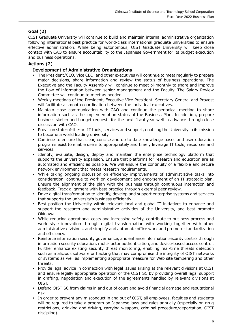# **Goal (2)**

OIST Graduate University will continue to build and maintain internal administrative organization following international best practice for world-class international graduate universities to ensure effective administration. While being autonomous, OIST Graduate University will keep close contact with CAO to ensure accountability to the Japanese Government for its budget execution and business operations.

# **Actions (2)**

# **Development of Administrative Organizations**

- The President/CEO, Vice CEO, and other executives will continue to meet regularly to prepare major decisions, share information and review the status of business operations. The Executive and the Faculty Assembly will continue to meet bi-monthly to share and improve the flow of information between senior management and the Faculty. The Salary Review Committee will continue to meet as needed.
- Weekly meetings of the President, Executive Vice President, Secretary General and Provost will facilitate a smooth coordination between the individual executives.
- Maintain close communication with CAO and continue the periodical meeting to share information such as the implementation status of the Business Plan. In addition, prepare business sketch and budget requests for the next fiscal year well in advance through close discussion with CAO.
- Provision state-of-the-art IT tools, services and support, enabling the University in its mission to become a world leading university.
- Continue to ensure that clear, concise and up to date knowledge bases and user education programs exist to enable users to appropriately and timely leverage IT tools, resources and services.
- Identify, evaluate, design, deploy and maintain the enterprise technology platform that supports the university expansion. Ensure that platforms for research and education are as automated and efficient as possible. We will ensure the continuity of a flexible and secure network environment that meets research requirements.
- While taking ongoing discussion on efficiency improvements of administrative tasks into consideration, continue to work on development and endorsement of an IT strategic plan. Ensure the alignment of the plan with the business through continuous interaction and feedback. Track alignment with best practice through external peer review.
- Drive digital transformation to identify, develop and support enterprise systems and services that supports the university's business efficiently.
- Best position the University within relevant local and global IT initiatives to enhance and support the research and administrative activities of the University, and best promote Okinawa.
- While reducing operational costs and increasing safety, contribute to business process and work style innovation through digital transformation with working together with other administrative divisions, and simplify and automate office work and promote standardization and efficiency.
- Reinforce information security governance, and enhance information security control through information security education, multi-factor authentication, and device-based access control. Further enhance existing security threat monitoring, enabling real-time threats detection such as malicious software or hacking that may compromise the integrity of OIST networks or systems as well as implementing appropriate measure for Web site tempering and other threats.
- Provide legal advice in connection with legal issues arising at the relevant divisions at OIST and ensure legally appropriate operation of the OIST SC by providing overall legal support in drafting, negotiation and execution of the agreements handled by relevant divisions at OIST.
- Defend OIST SC from claims in and out of court and avoid financial damage and reputational risk.
- In order to prevent any misconduct in and out of OIST, all employees, faculties and students will be required to take a program on Japanese laws and rules annually (especially on drug restrictions, drinking and driving, carrying weapons, criminal procedure/deportation, OIST discipline).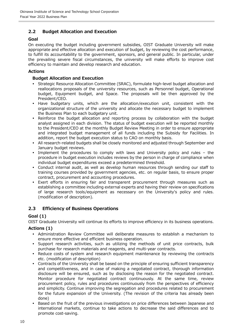# <span id="page-13-0"></span>**2.2 Budget Allocation and Execution**

#### **Goal**

On executing the budget including government subsidies, OIST Graduate University will make appropriate and effective allocation and execution of budget, by reviewing the cost performance, to fulfill its accountability to the government, sponsors, and general public. In particular, under the prevailing severe fiscal circumstances, the university will make efforts to improve cost efficiency to maintain and develop research and education.

## **Actions**

## **Budget Allocation and Execution**

- Strategic Resource Allocation Committee (SRAC), formulate high-level budget allocation and reallocations proposals of the university resources, such as Personnel budget, Operational budget, Equipment budget, and Space. The proposals will be then approved by the President/CEO.
- Have budgetary units, which are the allocation/execution unit, consistent with the organizational structure of the university and allocate the necessary budget to implement the Business Plan to each budgetary unit.
- Reinforce the budget allocation and reporting process by collaboration with the budget analyst assigned in each division. The status of budget execution will be reported monthly to the President/CEO at the monthly Budget Review Meeting in order to ensure appropriate and integrated budget management of all funds including the Subsidy for Facilities. In addition, report the budget execution status to CAO on monthly basis.
- All research-related budgets shall be closely monitored and adjusted through September and January budget reviews.
- Implement the procedures to comply with laws and University policy and rules the procedure in budget execution includes reviews by the person in charge of compliance when individual budget expenditures exceed a predetermined threshold.
- Conduct internal audit, as well as develop human resources through sending our staff to training courses provided by government agencies, etc. on regular basis, to ensure proper contract, procurement and accounting procedures.
- Exert efforts in ensuring fair and transparent procurement through measures such as establishing a committee including external experts and having their review on specifications of large research tools/equipment as necessary on the University's policy and rules. (modification of description).

# <span id="page-13-1"></span>**2.3 Efficiency of Business Operations**

# **Goal (1)**

OIST Graduate University will continue its efforts to improve efficiency in its business operations.

# **Actions (1)**

- Administration Review Committee will deliberate measures to establish a mechanism to ensure more effective and efficient business operation.
- Support research activities, such as utilizing the methods of unit price contracts, bulk purchase for research materials and reagents, and multi-year contracts.
- Reduce costs of system and research equipment maintenance by reviewing the contracts etc. (modification of description)
- Contracts of the University shall be based on the principle of ensuring sufficient transparency and competitiveness, and in case of making a negotiated contract, thorough information disclosure will be ensured, such as by disclosing the reason for the negotiated contract. Monitor procedure for negotiated contract continuously. At the same time, review procurement policy, rules and procedures continuously from the perspectives of efficiency and simplicity. Continue improving the segregation and procedures related to procurement for the future expansion of the University. (The revision of the criteria has already been done)
- Based on the fruit of the previous investigations on price differences between Japanese and international markets, continue to take actions to decrease the said differences and to promote cost-saving.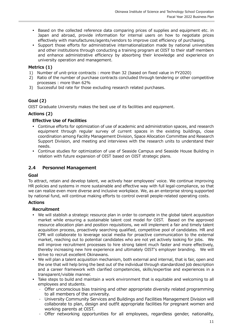- Based on the collected reference data comparing prices of supplies and equipment etc. in Japan and abroad, provide information for internal users on how to negotiate prices effectively with manufactures/agents/vendors to improve cost efficiency of purchasing.
- Support those efforts for administrative internationalization made by national universities and other institutions through conducting a training program at OIST to their staff members and enhance administrative efficiency by absorbing their knowledge and experience on university operation and management.

# **Metrics (1)**

- 1) Number of unit-price contracts : more than 32 (based on fixed value in FY2020)
- 2) Ratio of the number of purchase contracts concluded through tendering or other competitive processes : more than 62%
- 3) Successful bid rate for those excluding research related purchases.

# **Goal (2)**

OIST Graduate University makes the best use of its facilities and equipment.

#### **Actions (2)**

#### **Effective Use of Facilities**

- Continue efforts for optimization of use of academic and administration spaces, and research equipment through regular survey of current spaces in the existing buildings, close coordination among Facility Management Division, Space Allocation Committee and Research Support Division, and meeting and interviews with the research units to understand their needs.
- Continue studies for optimization of use of Seaside Campus and Seaside House Building in relation with future expansion of OIST based on OIST strategic plans.

# <span id="page-14-0"></span>**2.4 Personnel Management**

#### **Goal**

To attract, retain and develop talent, we actively hear employees' voice. We continue improving HR policies and systems in more sustainable and effective way with full legal-compliance, so that we can realize even more diverse and inclusive workplace. We, as an enterprise strong supported by national fund, will continue making efforts to control overall people-related operating costs.

#### **Actions**

#### **Recruitment**

- We will stablish a strategic resource plan in order to compete in the global talent acquisition market while ensuring a sustainable talent cost model for OIST. Based on the approved resource allocation plan and position requisitions, we will implement a fair and timely talent acquisition process, proactively searching qualified, competitive pool of candidates. HR and CPR will collaborate to leverage social media for proactive communication to the external market, reaching out to potential candidates who are not yet actively looking for jobs. We will improve recruitment processes to hire strong talent much faster and more effectively, thereby increasing new hire experience and ultimately OIST's employer branding. We will strive to recruit excellent Okinawans.
- We will plan a talent acquisition mechanism, both external and internal, that is fair, open and the one that will help bring the best out of the individual through standardized job description and a career framework with clarified competencies, skills/expertise and experiences in a transparent/visible manner.
- Take steps to build and maintain a work environment that is equitable and welcoming to all employees and students.
	- Offer unconscious bias training and other appropriate diversity related programming to all members of the university.
	- University Community Services and Buildings and Facilities Management Division will collaborate to plan, design and outfit appropriate facilities for pregnant women and working parents at OIST.
	- Offer networking opportunities for all employees, regardless gender, nationality,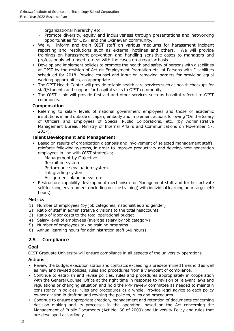organizational hierarchy etc.

- Promote diversity, equity and inclusiveness through presentations and networking opportunities for OIST and the Okinawan community.
- We will inform and train OIST staff on various mediums for harassment incident reporting and resolutions such as external hotlines and others. We will provide reporting and resolutions such as external hotlines and others. trainings on harassment prevention and handling sensitive cases to managers and professionals who need to deal with the cases on a regular basis.
- Develop and implement policies to promote the health and safety of persons with disabilities at OIST by the revision of Act on Employment Promotion etc. of Persons with Disabilities scheduled for 2018. Provide counsel and input on removing barriers for providing equal working opportunities, as appropriate.
- The OIST Health Center will provide reliable health care services such as health checkups for staff/students and support for hospital visits to OIST community.
- The OIST clinic will provide first aid and other services such as hospital referral to OIST community.

# **Compensation**

 Referring to salary levels of national government employees and those of academic institutions in and outside of Japan, embody and implement actions following "On the Salary of Officers and Employees of Special Public Corporations, etc. (by Administrative Management Bureau, Ministry of Internal Affairs and Communications on November 17, 2017).

#### **Talent Development and Management**

- Based on results of organization diagnosis and involvement of selected management staffs, reinforce following systems, in order to improve productivity and develop next generation employees in line with OIST strategies;
	- Management by Objective
	- Recruiting system
	- Performance evaluation system
	- Job grading system
	- Assignment planning system
- Restructure capability development mechanism for Management staff and further activate self-learning environment (including on-line training) with individual learning hour target (40 hours).

#### **Metrics**

- 1) Number of employees (by job categories, nationalities and gender)
- 2) Ratio of staff in administrative divisions to the total headcounts
- 3) Ratio of labor costs to the total operational budget
- 4) Salary level of employees (average salary by job category)
- 5) Number of employees taking training programs
- 6) Annual learning hours for administration staff (40 hours)

# <span id="page-15-0"></span>**2.5 Compliance**

# **Goal**

OIST Graduate University will ensure compliance in all aspects of the university operations.

# **Actions**

- Review the budget execution status and contracts exceeding a predetermined threshold as well as new and revised policies, rules and procedures from a viewpoint of compliance.
- Continue to establish and revise policies, rules and procedures appropriately in cooperation with the General Counsel Office at the right time in response to revision of relevant laws and regulations or changing situation and hold the PRP review committee as needed to maintain consistency in policies, rules and procedures as a whole. Provide legal advice to each policy owner division in drafting and revising the policies, rules and procedures.
- Continue to ensure appropriate creation, management and retention of documents concerning decision making and its processes in the operation, based on the Act concerning the Management of Public Documents (Act No. 66 of 2009) and University Policy and rules that are developed accordingly.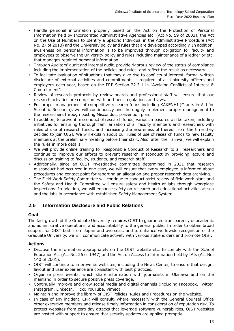- Handle personal information properly based on the Act on the Protection of Personal Information held by Incorporated Administrative Agencies etc. (Act No. 59 of 2003), the Act on the Use of Numbers to Identify a Specific Individual in the Administrative Procedure (Act No. 27 of 2013) and the University policy and rules that are developed accordingly. In addition, awareness on personal information is to be improved through obligation for faculty and employees to observe the University policy and rules including maintenance of a ledger or etc. that manages retained personal information.
- Through Auditors' audit and internal audit, provide rigorous review of the status of compliance including the implementation of the policies and rules, and reflect the result as necessary.
- To facilitate evaluation of situations that may give rise to conflicts of interest, formal written disclosure of external activities and commitments is required of all University officers and employees each year, based on the PRP Section 22.3.1 in "Avoiding Conflicts of Interest & Commitment".
- Review of research protocols by review boards and professional staff will ensure that our research activities are compliant with pertinent regulations and laws.
- For proper management of competitive research funds including KAKENHI (Grants-in-Aid for Scientific Research), we will continuously and thoroughly implement proper management to the researchers through posting Misconduct prevention plan.
- In addition, to prevent misconduct of research funds, various measures will be taken, including initiatives for ensuring thorough familiarization of all faculty members and researchers with rules of use of research funds, and increasing the awareness of thereof from the time they decided to join OIST. We will explain about our rules of use of research funds to new faculty members at the preliminary meeting before their start. Also, after their arrival, we will explain the rules in more details.
- We will provide online training for Responsible Conduct of Research to all researchers and continue to improve our efforts to prevent research misconduct by providing lecture and discussion training to faculty, students, and research staff.
- Additionally, since an OIST investigative committee determined in 2021 that research misconduct had occurred in one case, we will ensure that every employee is informed about procedures and contact point for reporting an allegation and proper research data archiving.
- The Field Work Safety Committee will continue to conduct strict review of field work plans and the Safety and Health Committee will ensure safety and health at labs through workplace inspections. In addition, we will enhance safety on research and educational activities at sea and the labs in accordance with established Safety Management System.

# <span id="page-16-0"></span>**2.6 Information Disclosure and Public Relations**

#### **Goal**

The fast growth of the Graduate University requires OIST to guarantee transparency of academic and administrative operations, and accountability to the general public. In order to obtain broad support for OIST both from Japan and overseas, and to enhance worldwide recognition of the Graduate University, we will communicate actively with various stakeholders and promote OIST.

# **Actions**

- Disclose the information appropriately on the OIST website etc. to comply with the School Education Act (Act No. 26 of 1947) and the Act on Access to Information held by IAIs (Act No. 140 of 2001).
- OIST will continue to improve its websites, including the News Center, to ensure that design, layout and user experience are consistent with best practices.
- Organize press events, which share information with journalists in Okinawa and on the mainland in order to secure positive press coverage.
- Continually improve and grow social media and digital channels (including Facebook, Twitter, Instagram, LinkedIn, Flickr, YouTube, Vimeo).
- Maintain and improve the library of OIST Policies, Rules and Procedures on the website.
- In case of any incident, CPR will consult, where necessary with the General Counsel Office other executive members and release timely information in consideration of reputation risk. To protect websites from zero-day attacks that leverage software vulnerabilities, OIST websites are hosted with support to ensure that security updates are applied promptly.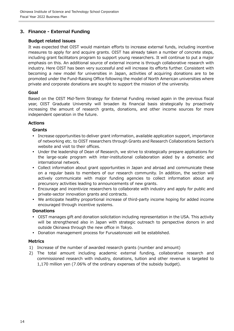# <span id="page-17-0"></span>**3. Finance - External Funding**

#### **Budget related issues**

It was expected that OIST would maintain efforts to increase external funds, including incentive measures to apply for and acquire grants. OIST has already taken a number of concrete steps, including grant facilitators program to support young researchers. It will continue to put a major emphasis on this. An additional source of external income is through collaborative research with industry. Here OIST has been very successful and will increase its efforts further. Consistent with becoming a new model for universities in Japan, activities of acquiring donations are to be promoted under the Fund-Raising Office following the model of North American universities where private and corporate donations are sought to support the mission of the university.

#### **Goal**

Based on the OIST Mid-Term Strategy for External Funding revised again in the previous fiscal year, OIST Graduate University will broaden its financial basis strategically by proactively increasing the amount of research grants, donations, and other income sources for more independent operation in the future.

#### **Actions**

# **Grants**

- Increase opportunities to deliver grant information, available application support, importance of networking etc. to OIST researchers through Grants and Research Collaborations Section's website and visit to their offices.
- Under the leadership of Dean of Research, we strive to strategically prepare applications for the large-scale program with inter-institutional collaboration aided by a domestic and international network.
- Collect information about grant opportunities in Japan and abroad and communicate these on a regular basis to members of our research community. In addition, the section will actively communicate with major funding agencies to collect information about any precursory activities leading to announcements of new grants.
- Encourage and incentivize researchers to collaborate with industry and apply for public and private-sector innovation grants and contracts.
- We anticipate healthy proportional increase of third-party income hoping for added income encouraged through incentive systems.

#### **Donations**

- OIST manages gift and donation solicitation including representation in the USA. This activity will be strengthened also in Japan with strategic outreach to perspective donors in and outside Okinawa through the new office in Tokyo.
- Donation management process for Furusatonozei will be established.

#### **Metrics**

- 1) Increase of the number of awarded research grants (number and amount)
- 2) The total amount including academic external funding, collaborative research and commissioned research with industry, donations, tuition and other revenue is targeted to 1,170 million yen (7.06% of the ordinary expenses of the subsidy budget).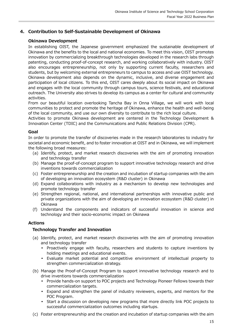# <span id="page-18-0"></span>**4. Contribution to Self-Sustainable Development of Okinawa**

### **Okinawa Development**

In establishing OIST, the Japanese government emphasized the sustainable development of Okinawa and the benefits to the local and national economies. To meet this vision, OIST promotes innovation by commercializing breakthrough technologies developed in the research labs through patenting, conducting proof-of-concept research, and working collaboratively with industry. OIST also encourages entrepreneurship, not only by supporting current faculty, researchers and students, but by welcoming external entrepreneurs to campus to access and use OIST technology. Okinawa development also depends on the dynamic, inclusive, and diverse engagement and participation of local citizens. To this end, OIST cares deeply about its social impact on Okinawa and engages with the local community through campus tours, science festivals, and educational outreach. The University also strives to develop its campus as a center for cultural and community activities.

From our beautiful location overlooking Tancha Bay in Onna Village, we will work with local communities to protect and promote the heritage of Okinawa, enhance the health and well-being of the local community, and use our own diversity to contribute to the rich local culture.

Activities to promote Okinawa development are centered in the Technology Development & Innovation Center (TDIC) and the Communications and Public Relations Division (CPR).

#### **Goal**

In order to promote the transfer of discoveries made in the research laboratories to industry for societal and economic benefit, and to foster innovation at OIST and in Okinawa, we will implement the following broad measures:

- (a) Identify, protect, and market research discoveries with the aim of promoting innovation and technology transfer
- (b) Manage the proof-of-concept program to support innovative technology research and drive inventions towards commercialization
- (c) Foster entrepreneurship and the creation and incubation of startup companies with the aim of developing an innovation ecosystem (R&D cluster) in Okinawa
- (d) Expand collaborations with industry as a mechanism to develop new technologies and promote technology transfer
- (e) Strengthen regional, national, and international partnerships with innovative public and private organizations with the aim of developing an innovation ecosystem (R&D cluster) in Okinawa
- (f) Understand the components and indicators of successful innovation in science and technology and their socio-economic impact on Okinawa

#### **Actions**

#### **Technology Transfer and Innovation**

- (a) Identify, protect, and market research discoveries with the aim of promoting innovation and technology transfer
	- Proactively engage with faculty, researchers and students to capture inventions by holding meetings and educational events.
	- Evaluate market potential and competitive environment of intellectual property to strengthen commercialization strategy.
- (b) Manage the Proof-of-Concept Program to support innovative technology research and to drive inventions towards commercialization
	- Provide hands-on support to POC projects and Technology Pioneer Fellows towards their commercialization targets.
	- Expand and strengthen the panel of industry reviewers, experts, and mentors for the POC Program.
	- Start a discussion on developing new programs that more directly link POC projects to successful commercialization outcomes including startups.
- (c) Foster entrepreneurship and the creation and incubation of startup companies with the aim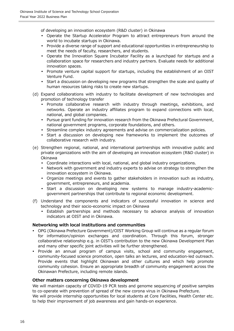of developing an innovation ecosystem (R&D cluster) in Okinawa

- Operate the Startup Accelerator Program to attract entrepreneurs from around the world to incubate startups in Okinawa.
- Provide a diverse range of support and educational opportunities in entrepreneurship to meet the needs of faculty, researchers, and students.
- Operate the Innovation Square Incubator Facility as a launchpad for startups and a collaboration space for researchers and industry partners. Evaluate needs for additional innovation spaces.
- Promote venture capital support for startups, including the establishment of an OIST Venture Fund.
- Start a discussion on developing new programs that strengthen the scale and quality of human resources taking risks to create new startups.
- (d) Expand collaborations with industry to facilitate development of new technologies and promotion of technology transfer
	- Promote collaborative research with industry through meetings, exhibitions, and networks. Operate an industry affiliates program to expand connections with local, national, and global companies.
	- Pursue grant funding for innovation research from the Okinawa Prefectural Government, national government programs, corporate foundations, and others.
	- Streamline complex industry agreements and advise on commercialization policies.
	- Start a discussion on developing new frameworks to implement the outcomes of collaborative research with industry.
- (e) Strengthen regional, national, and international partnerships with innovative public and private organizations with the aim of developing an innovation ecosystem (R&D cluster) in Okinawa
	- Coordinate interactions with local, national, and global industry organizations.
	- Network with government and industry experts to advise on strategy to strengthen the innovation ecosystem in Okinawa.
	- Organize meetings and events to gather stakeholders in innovation such as industry, government, entrepreneurs, and academia.
	- Start a discussion on developing new systems to manage industry-academicgovernment partnerships that contribute to regional economic development.
- (f) Understand the components and indicators of successful innovation in science and technology and their socio-economic impact on Okinawa
	- Establish partnerships and methods necessary to advance analysis of innovation indicators at OIST and in Okinawa.

# **Networking with local institutions and communities**

- OPG (Okinawa Prefecture Government)/OIST Working Group will continue as a regular forum for information/opinion exchanges and coordination. Through this forum, stronger collaborative relationship e.g. in OIST's contribution to the new Okinawa Development Plan and many other specific joint activities will be further strengthened.
- Provide an annual program of campus visits, school and community engagement, community-focused science promotion, open talks an lectures, and education-led outreach. Provide events that highlight Okinawan and other cultures and which help promote community cohesion. Ensure an appropriate breadth of community engagement across the Okinawan Prefecture, including remote islands.

#### **Other matters concerning Okinawa development**

We will maintain capacity of COVID-19 PCR tests and genome sequencing of positive samples to co-operate with prevention of spread of the new corona virus in Okinawa Prefecture. We will provide internship opportunities for local students at Core Facilities, Health Center etc.

to help their improvement of job awareness and gain hands-on experience.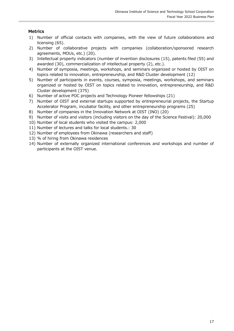# **Metrics**

- 1) Number of official contacts with companies, with the view of future collaborations and licensing (65).
- 2) Number of collaborative projects with companies (collaboration/sponsored research agreements, MOUs, etc.) (20).
- 3) Intellectual property indicators (number of invention disclosures (15), patents filed (55) and awarded (30), commercialization of intellectual property (2), etc.).
- 4) Number of symposia, meetings, workshops, and seminars organized or hosted by OIST on topics related to innovation, entrepreneurship, and R&D Cluster development (12)
- 5) Number of participants in events, courses, symposia, meetings, workshops, and seminars organized or hosted by OIST on topics related to innovation, entrepreneurship, and R&D Cluster development (375)
- 6) Number of active POC projects and Technology Pioneer fellowships (21)
- 7) Number of OIST and external startups supported by entrepreneurial projects, the Startup Accelerator Program, incubator facility, and other entrepreneurship programs (25)
- 8) Number of companies in the Innovation Network at OIST (INO) (20)
- 9) Number of visits and visitors (including visitors on the day of the Science Festival): 20,000
- 10) Number of local students who visited the campus: 2,000
- 11) Number of lectures and talks for local students.: 30
- 12) Number of employees from Okinawa (researchers and staff)
- 13) % of hiring from Okinawa residences
- 14) Number of externally organized international conferences and workshops and number of participants at the OIST venue.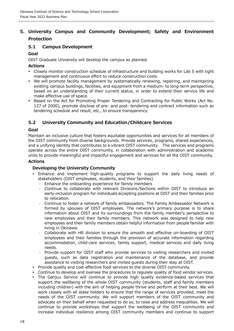# <span id="page-21-0"></span>**5. University Campus and Community Development; Safety and Environment Protection**

# <span id="page-21-1"></span>**5.1 Campus Development**

## **Goal**

OIST Graduate University will develop the campus as planned.

#### **Actions**

- Closely monitor construction schedule of infrastructure and building works for Lab 5 with tight management and continuous effort to reduce construction costs.
- We will promote facility management by systematically renewing, repairing, and maintaining existing campus buildings, facilities, and equipment from a medium- to long-term perspective, based on an understanding of their current status, in order to extend their service life and make effective use of space.
- Based on the Act for Promoting Proper Tendering and Contracting for Public Works (Act No. 127 of 2000), promote disclose of pre- and post- tendering and contract information such as tendering schedule and result, etc., to ensure transparency.

# <span id="page-21-2"></span>**5.2 University Community and Education/Childcare Services**

#### **Goal**

Maintain an inclusive culture that fosters equitable opportunities and services for all members of the OIST community from diverse backgrounds. Provide services, programs, shared experiences, and a unifying identity that contributes to a vibrant OIST community. The services and programs operate across the entire OIST community, in collaboration with administration and academic units to provide meaningful and impactful engagement and services for all the OIST community.

#### **Actions**

## **Developing the University Community**

- Enhance and implement high-quality programs to support the daily living needs of stakeholders (OIST employees, students, and their families)
	- Enhance the onboarding experience for family members
	- Continue to collaborate with relevant Divisions/Sections within OIST to introduce an early-inclusion program for individuals accepting positions at OIST and their families prior to relocation.
	- Continue to foster a network of family ambassadors. The Family Ambassador Network is formed by spouses of OIST employees. The network's primary purpose is to share information about OIST and its surroundings from the family member's perspective to new employees and their family members. This network was designed to help new employees and their family members obtain helpful information from people familiar with living in Okinawa.
	- Collaborate with HR division to ensure the smooth and effective on-boarding of OIST employees and their families through the provision of accurate information regarding accommodation, child-care services, family support, medical services and daily living needs.
	- Provide support for OIST staff who provide services to visiting researchers and invited guests, such as data registration and maintenance of the database, and provide assistance to visiting researchers and invited guests during their stay at OIST.
- Provide quality and cost-effective food services to the diverse OIST community.
- Continue to develop and oversee the procedures to regulate quality of food vendor services.
- The Ganjuu Service will continue to provide high quality evidence-based services that support the wellbeing of the whole OIST community (students, staff and family members including children) with the aim of helping people thrive and perform at their best. We will work closely with all stake holders to ensure that the range of services provided, meet the needs of the OIST community. We will support members of the OIST community and advocate on their behalf when requested to do so, to raise and address inequalities. We will continue to provide workshops that support the wellbeing of the OIST community and increase individual resilience among OIST community members and continue to support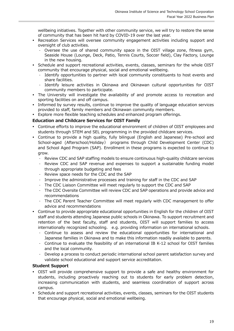wellbeing initiatives. Together with other community service, we will try to restore the sense of community that has been hit hard by COVID-19 over the last year.

- Recreation Services will oversee community engagement activities including support and oversight of club activities.
	- Oversee the use of shared community space in the OIST village zone, fitness gym, Seaside House (Lounge, Deck, Patio, Tennis Courts, Soccer field), Clay Factory, Lounge in the new housing.
- Schedule and support recreational activities, events, classes, seminars for the whole OIST community that encourage physical, social and emotional wellbeing.
	- Identify opportunities to partner with local community constituents to host events and share facilities.
	- Identify leisure activities in Okinawa and Okinawan cultural opportunities for OIST community members to participate.
- The University will investigate the availability of and promote access to recreation and sporting facilities on and off campus.
- Informed by survey results, continue to improve the quality of language education services provided to staff, family members and Okinawan community members.
- Explore more flexible teaching schedules and enhanced program offerings.

#### **Education and Childcare Services for OIST Family**

- Continue efforts to improve the educational environment of children of OIST employees and students through STEM and SEL programming in the provided childcare services.
- Continue to provide a high quality, fully bilingual (English and Japanese) Pre-school and School-aged (Afterschool/Holiday) programs through Child Development Center (CDC) and School Aged Program (SAP). Enrollment in these programs is expected to continue to grow.
	- Review CDC and SAP staffing models to ensure continuous high-quality childcare services
	- Review CDC and SAP revenue and expenses to support a sustainable funding model through appropriate budgeting and fees
	- Review space needs for the CDC and the SAP
	- Improve the administrative processes and training for staff in the CDC and SAP
	- The CDC Liaison Committee will meet regularly to support the CDC and SAP
	- The CDC Oversite Committee will review CDC and SAP operations and provide advice and recommendations
	- The CDC Parent Teacher Committee will meet regularly with CDC management to offer advice and recommendations
- Continue to provide appropriate educational opportunities in English for the children of OIST staff and students attending Japanese public schools in Okinawa. To support recruitment and retention of the best faculty, staff and students, OIST will support families to access internationally recognized schooling. e.g. providing information on international schools.
	- Continue to assess and review the educational opportunities for international and Japanese families in Okinawa and to make this information readily available to parents.
	- Continue to evaluate the feasibility of an international IB K-12 school for OIST families and the local community.
	- Develop a process to conduct periodic international school parent satisfaction survey and validate school educational and support service accreditation.

#### **Student Support**

- OIST will provide comprehensive support to provide a safe and healthy environment for students, including proactively reaching out to students for early problem detection, increasing communication with students, and seamless coordination of support across campus.
- Schedule and support recreational activities, events, classes, seminars for the OIST students that encourage physical, social and emotional wellbeing.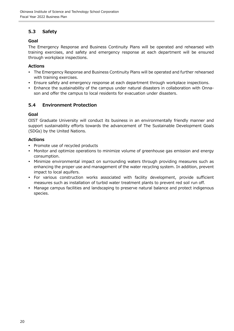# <span id="page-23-0"></span>**5.3 Safety**

# **Goal**

The Emergency Response and Business Continuity Plans will be operated and rehearsed with training exercises, and safety and emergency response at each department will be ensured through workplace inspections.

# **Actions**

- The Emergency Response and Business Continuity Plans will be operated and further rehearsed with training exercises.
- Ensure safety and emergency response at each department through workplace inspections.
- Enhance the sustainability of the campus under natural disasters in collaboration with Onnason and offer the campus to local residents for evacuation under disasters.

# <span id="page-23-1"></span>**5.4 Environment Protection**

#### **Goal**

OIST Graduate University will conduct its business in an environmentally friendly manner and support sustainability efforts towards the advancement of The Sustainable Development Goals (SDGs) by the United Nations.

#### **Actions**

- Promote use of recycled products
- Monitor and optimize operations to minimize volume of greenhouse gas emission and energy consumption.
- Minimize environmental impact on surrounding waters through providing measures such as enhancing the proper use and management of the water recycling system. In addition, prevent impact to local aquifers.
- For various construction works associated with facility development, provide sufficient measures such as installation of turbid water treatment plants to prevent red soil run off.
- Manage campus facilities and landscaping to preserve natural balance and protect indigenous species.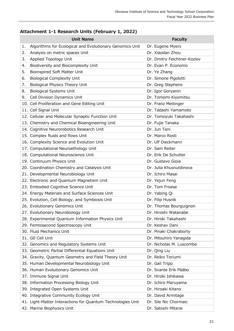# <span id="page-24-0"></span>**Attachment 1-1 Research Units (February 1, 2022)**

|    | <b>Unit Name</b>                                            | <b>Faculty</b>              |
|----|-------------------------------------------------------------|-----------------------------|
| 1. | Algorithms for Ecological and Evolutionary Genomics Unit    | Dr. Eugene Myers            |
| 2. | Analysis on metric spaces Unit                              | Dr. Xiaodan Zhou            |
| 3. | Applied Topology Unit                                       | Dr. Dmitry Feichtner-Kozlov |
| 4. | Biodiversity and Biocomplexity Unit                         | Dr. Evan P. Economo         |
| 5. | Bioinspired Soft Matter Unit                                | Dr. Ye Zhang                |
| 6. | <b>Biological Complexity Unit</b>                           | Dr. Simone Pigolotti        |
| 7. | <b>Biological Physics Theory Unit</b>                       | Dr. Greg Stephens           |
| 8. | <b>Biological Systems Unit</b>                              | Dr. Igor Goryanin           |
| 9. | Cell Division Dynamics Unit                                 | Dr. Tomomi Kiyomitsu        |
|    | 10. Cell Proliferation and Gene Editing Unit                | Dr. Franz Meitinger         |
|    | 11. Cell Signal Unit                                        | Dr. Tadashi Yamamoto        |
|    | 12. Cellular and Molecular Synaptic Function Unit           | Dr. Tomoyuki Takahashi      |
|    | 13. Chemistry and Chemical Bioengineering Unit              | Dr. Fujie Tanaka            |
|    | 14. Cognitive Neurorobotics Research Unit                   | Dr. Jun Tani                |
|    | 15. Complex fluids and flows Unit                           | Dr. Marco Rosti             |
|    | 16. Complexity Science and Evolution Unit                   | Dr. Ulf Dieckmann           |
|    | 17. Computational Neuroethology Unit                        | Dr. Sam Reiter              |
|    | 18. Computational Neuroscience Unit                         | Dr. Erik De Schutter        |
|    | 19. Continuum Physics Unit                                  | Dr. Gustavo Gioia           |
|    | 20. Coordination Chemistry and Catalysis Unit               | Dr. Julia Khusnutdinova     |
|    | 21. Developmental Neurobiology Unit                         | Dr. Ichiro Masai            |
|    | 22. Electronic and Quantum Magnetism Unit                   | Dr. Yejun Feng              |
|    | 23. Embodied Cognitive Science Unit                         | Dr. Tom Froese              |
|    | 24. Energy Materials and Surface Sciences Unit              | Dr. Yabing Qi               |
|    | 25. Evolution, Cell Biology, and Symbiosis Unit             | Dr. Filip Husnik            |
|    | 26. Evolutionary Genomics Unit                              | Dr. Thomas Bourguignon      |
|    | 27. Evolutionary Neurobiology Unit                          | Dr. Hiroshi Watanabe        |
|    | 28. Experimental Quantum Information Physics Unit           | Dr. Hiroki Takahashi        |
|    | 29. Femtosecond Spectroscopy Unit                           | Dr. Keshav Dani             |
|    | 30. Fluid Mechanics Unit                                    | Dr. Pinaki Chakraborty      |
|    | 31. GO Cell Unit                                            | Dr. Mitsuhiro Yanagida      |
|    | 32. Genomics and Regulatory Systems Unit                    | Dr. Nicholas M. Luscombe    |
|    | 33. Geometric Partial Differential Equations Unit           | Dr. Qing Liu                |
|    | 34. Gravity, Quantum Geometry and Field Theory Unit         | Dr. Reiko Toriumi           |
|    | 35. Human Developmental Neurobiology Unit                   | Dr. Gail Tripp              |
|    | 36. Human Evolutionary Genomics Unit                        | Dr. Svante Erik Pääbo       |
|    | 37. Immune Signal Unit                                      | Dr. Hiroki Ishikawa         |
|    | 38. Information Processing Biology Unit                     | Dr. Ichiro Maruyama         |
|    | 39. Integrated Open Systems Unit                            | Dr. Hiroaki Kitano          |
|    | 40. Integrative Community Ecology Unit                      | Dr. David Armitage          |
|    | 41. Light-Matter Interactions for Quantum Technologies Unit | Dr. Sile Nic Chormaic       |
|    | 42. Marine Biophysics Unit                                  | Dr. Satoshi Mitarai         |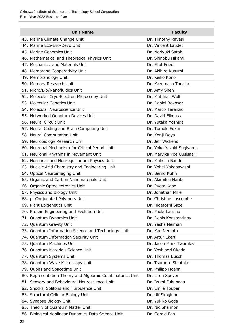| <b>Unit Name</b>                                           | <b>Faculty</b>            |
|------------------------------------------------------------|---------------------------|
| 43. Marine Climate Change Unit                             | Dr. Timothy Ravasi        |
| 44. Marine Eco-Evo-Devo Unit                               | Dr. Vincent Laudet        |
| 45. Marine Genomics Unit                                   | Dr. Noriyuki Satoh        |
| 46. Mathematical and Theoretical Physics Unit              | Dr. Shinobu Hikami        |
| 47. Mechanics and Materials Unit                           | Dr. Eliot Fried           |
| 48. Membrane Cooperativity Unit                            | Dr. Akihiro Kusumi        |
| 49. Membranology Unit                                      | Dr. Keiko Kono            |
| 50. Memory Research Unit                                   | Dr. Kazumasa Tanaka       |
| 51. Micro/Bio/Nanofluidics Unit                            | Dr. Amy Shen              |
| 52. Molecular Cryo-Electron Microscopy Unit                | Dr. Matthias Wolf         |
| 53. Molecular Genetics Unit                                | Dr. Daniel Rokhsar        |
| 54. Molecular Neuroscience Unit                            | Dr. Marco Terenzio        |
| 55. Networked Quantum Devices Unit                         | Dr. David Elkouss         |
| 56. Neural Circuit Unit                                    | Dr. Yutaka Yoshida        |
| 57. Neural Coding and Brain Computing Unit                 | Dr. Tomoki Fukai          |
| 58. Neural Computation Unit                                | Dr. Kenji Doya            |
| 59. Neurobiology Research Uni                              | Dr. Jeff Wickens          |
| 60. Neuronal Mechanism for Critical Period Unit            | Dr. Yoko Yazaki-Sugiyama  |
| 61. Neuronal Rhythms in Movement Unit                      | Dr. Marylka Yoe Uusisaari |
| 62. Nonlinear and Non-equilibrium Physics Unit             | Dr. Mahesh Bandi          |
| 63. Nucleic Acid Chemistry and Engineering Unit            | Dr. Yohei Yokobayashi     |
| 64. Optical Neuroimaging Unit                              | Dr. Bernd Kuhn            |
| 65. Organic and Carbon Nanomaterials Unit                  | Dr. Akimitsu Narita       |
| 66. Organic Optoelectronics Unit                           | Dr. Ryota Kabe            |
| 67. Physics and Biology Unit                               | Dr. Jonathan Miller       |
| 68. pi-Conjugated Polymers Unit                            | Dr. Christine Luscombe    |
| 69. Plant Epigenetics Unit                                 | Dr. Hidetoshi Saze        |
| 70. Protein Engineering and Evolution Unit                 | Dr. Paola Laurino         |
| 71. Quantum Dynamics Unit                                  | Dr. Denis Konstantinov    |
| 72. Quantum Gravity Unit                                   | Dr. Yasha Neiman          |
| 73. Quantum Information Science and Technology Unit        | Dr. Kae Nemoto            |
| 74. Quantum Information Security Unit                      | Dr. Artur Ekert           |
| 75. Quantum Machines Unit                                  | Dr. Jason Mark Twamley    |
| 76. Quantum Materials Science Unit                         | Dr. Yoshinori Okada       |
| 77. Quantum Systems Unit                                   | Dr. Thomas Busch          |
| 78. Quantum Wave Microscopy Unit                           | Dr. Tsumoru Shintake      |
| 79. Qubits and Spacetime Unit                              | Dr. Philipp Hoehn         |
| 80. Representation Theory and Algebraic Combinatorics Unit | Dr. Liron Speyer          |
| 81. Sensory and Behavioural Neuroscience Unit              | Dr. Izumi Fukunaga        |
| 82. Shocks, Solitons and Turbulence Unit                   | Dr. Emile Touber          |
| 83. Structural Cellular Biology Unit                       | Dr. Ulf Skoglund          |
| 84. Synapse Biology Unit                                   | Dr. Yukiko Goda           |
| 85. Theory of Quantum Matter Unit                          | Dr. Nic Shannon           |
| 86. Biological Nonlinear Dynamics Data Science Unit        | Dr. Gerald Pao            |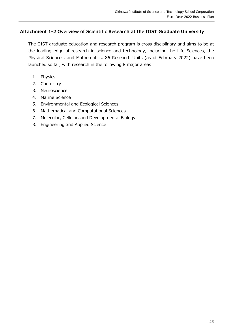# <span id="page-26-0"></span>**Attachment 1-2 Overview of Scientific Research at the OIST Graduate University**

The OIST graduate education and research program is cross-disciplinary and aims to be at the leading edge of research in science and technology, including the Life Sciences, the Physical Sciences, and Mathematics. 86 Research Units (as of February 2022) have been launched so far, with research in the following 8 major areas:

- 1. Physics
- 2. Chemistry
- 3. Neuroscience
- 4. Marine Science
- 5. Environmental and Ecological Sciences
- 6. Mathematical and Computational Sciences
- 7. Molecular, Cellular, and Developmental Biology
- 8. Engineering and Applied Science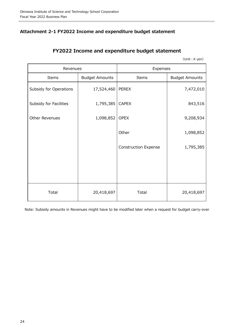# <span id="page-27-0"></span>**Attachment 2-1 FY2022 Income and expenditure budget statement**

# **FY2022 Income and expenditure budget statement**

(Unit: K yen)

| Revenues               |                       | Expenses                    |                       |
|------------------------|-----------------------|-----------------------------|-----------------------|
| Items                  | <b>Budget Amounts</b> | Items                       | <b>Budget Amounts</b> |
| Subsidy for Operations | 17,524,460            | <b>PEREX</b>                | 7,472,010             |
| Subsidy for Facilities | 1,795,385             | <b>CAPEX</b>                | 843,516               |
| Other Revenues         | 1,098,852             | <b>OPEX</b>                 | 9,208,934             |
|                        |                       | Other                       | 1,098,852             |
|                        |                       | <b>Construction Expense</b> | 1,795,385             |
|                        |                       |                             |                       |
|                        |                       |                             |                       |
| Total                  | 20,418,697            | Total                       | 20,418,697            |

Note: Subsidy amounts in Revenues might have to be modified later when a request for budget carry-over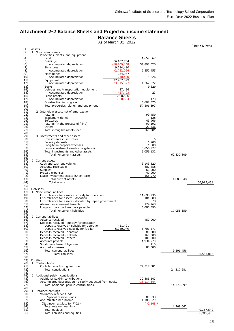# <span id="page-28-0"></span>**Attachment 2-2 Balance Sheets and Projected income statement Balance Sheets**

As of March 31, 2022

(Unit: K Yen)

|              | Assets                                                                                            |                          |            | (Unit:K.                 |
|--------------|---------------------------------------------------------------------------------------------------|--------------------------|------------|--------------------------|
| (1)<br>(2)   | I Noncurrent assets                                                                               |                          |            |                          |
| (3)          | 1 Properties, plants, and equipment                                                               |                          |            |                          |
| (4)          | Land                                                                                              | 1,659,667                |            |                          |
| (5)<br>(6)   | <b>Buildings</b><br>56,107,784<br>$-18,209,158$<br>Accumulated depreciation                       | 37,898,626               |            |                          |
| (7)          | 9,284,480<br>Structures                                                                           |                          |            |                          |
| (8)          | Accumulated depreciation<br>$-2.732.024$                                                          | 6,552,455                |            |                          |
| (9)          | 234,057<br>Machineries                                                                            |                          |            |                          |
| (10)<br>(11) | Accumulated depreciation<br>$-218,430$<br>27,782,899<br>Equipment                                 | 15,626                   |            |                          |
| (12)         | Accumulated depreciation<br>$-23,015,077$                                                         | 4,767,822                |            |                          |
| (13)         | <b>Books</b>                                                                                      | 9,629                    |            |                          |
| (14)         | Vehicles and transportation equipment<br>27,426                                                   |                          |            |                          |
| (15)         | Accumulated depreciation<br>$-27,403$<br>1,308,806                                                | 23                       |            |                          |
| (16)<br>(17) | Lease assets<br>$-1,308,634$<br>Accumulated depreciation                                          | 173                      |            |                          |
| (18)         | Construction in progress                                                                          | 6,602,376                |            |                          |
| (19)         | Total properties, plants, and equipment                                                           | 57,506,397               |            |                          |
| (20)         |                                                                                                   |                          |            |                          |
| (21)<br>(22) | 2 Intangible assets net of amortization<br>Patents                                                | 99,459                   |            |                          |
| (23)         | Trademark rights                                                                                  | 128                      |            |                          |
| (24)         | Softwares                                                                                         | 43,966                   |            |                          |
| (25)         | Patents (in the process of filing)                                                                | 99,192                   |            |                          |
| (26)<br>(27) | Others<br>Total intangible assets, net                                                            | 22,536<br>265,281        |            |                          |
| (28)         |                                                                                                   |                          |            |                          |
| (29)         | 3 Investments and other assets                                                                    |                          |            |                          |
| (30)<br>(31) | Investments in securities                                                                         | 5<br>1,200               |            |                          |
| (32)         | Security deposits<br>Long-term prepaid expenses                                                   | 1,000                    |            |                          |
| (33)         | Lease investment assets (Long-term)                                                               | 5,056,927                |            |                          |
| (34)         | Total investments and other assets                                                                | 5,059,132                |            |                          |
| (35)         | Total noncurrent assets                                                                           |                          | 62,830,809 |                          |
| (36)<br>(37) | II Current assets                                                                                 |                          |            |                          |
| (38)         | Cash and cash equivalents                                                                         | 3,143,820                |            |                          |
| (39)         | Accounts receivable                                                                               | 687,858                  |            |                          |
| (40)<br>(41) | Supplies<br>Prepaid expenses                                                                      | 60,000<br>40,000         |            |                          |
| (42)         | Lease investment assets (Short-term)                                                              | 156,970                  |            |                          |
| (43)         | Total current assets                                                                              |                          | 4,088,648  |                          |
| (44)         | Total assets                                                                                      |                          |            | 66,919,458               |
| (45)         |                                                                                                   |                          |            |                          |
| (46)<br>(47) | Liabilities<br>I Noncurrent liabilities                                                           |                          |            |                          |
| (48)         | Encumbrance for assets - subsidy for operation                                                    | 11,698,235               |            |                          |
| (49)         | Encumbrance for assets - donation                                                                 | 101,588                  |            |                          |
| (50)<br>(51) | Encumbrance for assets - donated by Japan government<br>Allowance-retirement benefits             | 678<br>174,263           |            |                          |
| (52)         | Long-term accrued amounts payable                                                                 |                          |            |                          |
| (53)         |                                                                                                   |                          |            |                          |
| (54)         | Total noncurrent liabilities                                                                      | 5,080,596                | 17,055,359 |                          |
|              |                                                                                                   |                          |            |                          |
| (55)         | II Current liabilities                                                                            |                          |            |                          |
| (56)         | Advance received                                                                                  | 450,000                  |            |                          |
| (5/)<br>(58) | Deposits received - subsidy for operation<br>Deposits received - subsidy for operation<br>451,491 |                          |            |                          |
| (59)         | Deposits received-subsidy for facility<br>6,250,079                                               | 6,701,571                |            |                          |
| (60)         | Deposits received - donation                                                                      | 80,000                   |            |                          |
| (61)         | Deposits received - Kakenhi                                                                       | 160,000                  |            |                          |
| (62)<br>(63) | Deposits received - others<br>Accounts payable                                                    | 100,000<br>1,934,770     |            |                          |
| (64)         | Short-term lease obligations                                                                      | 115                      |            |                          |
| (65)         | Accrued expenses                                                                                  | 80,000                   |            |                          |
| (66)         | Total current liabilities                                                                         |                          | 9,506,456  |                          |
| (67)<br>(68) | <b>Total liabilities</b>                                                                          |                          |            | 26,561,815               |
| (69)         | Equities                                                                                          |                          |            |                          |
| (70)         | I Contributions                                                                                   |                          |            |                          |
| (71)         | Contributions from government                                                                     | 24,317,681               |            |                          |
| (72)<br>(73) | Total contributions                                                                               |                          | 24,317,681 |                          |
| (74)         | II Additional paid-in contributions                                                               |                          |            |                          |
| (75)         | Additional paid-in contributions                                                                  | 32,885,543               |            |                          |
| (76)         | Accumulated depreciation - directly deducted from equity                                          | -18,114,644              |            |                          |
| (77)<br>(78) | Total additional paid-in contributions                                                            |                          | 14,770,899 |                          |
| (79)         | <b>II</b> Retained earnings                                                                       |                          |            |                          |
| (80)         | Voluntary reserve funds                                                                           |                          |            |                          |
| (81)<br>(82) | Special reserve funds<br>Accumulated net income                                                   | 80,533                   |            |                          |
| (83)         | (Net income/ $\triangle$ loss for FY21)                                                           | 1,188,529<br>$(-2, 148)$ |            |                          |
| (84)         | Total retained earnings                                                                           |                          | 1,269,062  |                          |
| (85)<br>(86) | Total equities<br>Total liabilities and equities                                                  |                          |            | 40,357,642<br>66,919,458 |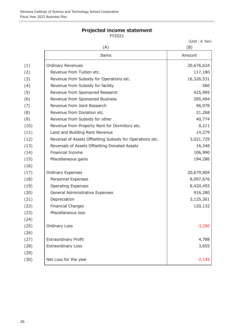# **Projected income statement**

FY2021

(Unit : K Yen)

 $(A)$  (B) Items **Amount** (1) Ordinary Revenues 20,676,624 (2)  $\vert$  Revenue from Tuition etc.  $\vert$  117,180 (3) Revenue from Subsidy for Operations etc. 16,326,531 (4) Revenue from Subsidy for facility 560 (5) Revenue from Sponsored Research (5) 25,995 (6) Revenue from Sponsored Business 285,494 (7) Revenue from Joint Research **196,978** (8) Revenue from Donation etc. 21,268  $(9)$  Revenue from Subsidy for other  $(9)$  40,774 (10) Revenue from Property Rent for Dormitory etc. 8,211 (11) Land and Building Rent Revenue 14,279 (12) Reversal of Assets Offsetting Subsidy for Operations etc. 3,021,729 (13) Reversals of Assets Offsetting Donated Assets 16,348 (14) Financial Income 106,990 (15) Miscellaneous gains 194,286 (16) (17) Ordinary Expenses 20,679,904 (18) Personnel Expenses 8,097,676 (19) Operating Expenses and Books and Books and Books and Books and Books and Books and Books and Books and Books and Books and Books and Books and Books and Books and Books and Books and Books and Books and Books and Book (20) General Administrative Expenses and the state of the Superior of the Superior of the Superior of the Superior of the Superior of the Superior of the Superior of the Superior of the Superior of the Superior of the Supe (21) Depreciation 3,125,361 (22) Financial Charges 120,132 (23) Miscellaneous loss (24) (25) Ordinary Loss -3,280 (26) (27) Extraordinary Profit 4,788 (28) Extraordinary Loss 3,655 and 3,655 and 3,655 and 3,655 and 3,655 and 3,655 and 3,655 and 3,655 and 3,655  $\pm$ (29)  $(30)$  Net Loss for the year  $\vert$  -2,148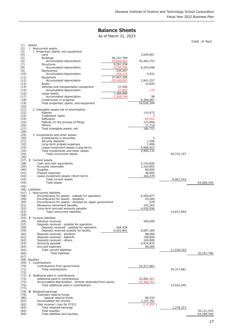# **Balance Sheets**

As of March 31, 2023

(Unit: K Yen)

| (1)          | Assets                                                                                                      |                        |            |                          |
|--------------|-------------------------------------------------------------------------------------------------------------|------------------------|------------|--------------------------|
| (2)<br>(3)   | I Noncurrent assets<br>1 Properties, plants, and equipment                                                  |                        |            |                          |
| (4)          | Land                                                                                                        | 1,659,667              |            |                          |
| (5)<br>(6)   | <b>Buildings</b><br>56,107,784<br>Accumulated depreciation<br>$-20,645,041$                                 | 35,462,743             |            |                          |
| (7)<br>(8)   | <b>Structures</b><br>9,291,254<br>Accumulated depreciation<br>$-3,036,205$                                  | 6,255,048              |            |                          |
| (9)          | 234,057<br>Machineries<br>$-228,125$                                                                        |                        |            |                          |
| (10)<br>(11) | Accumulated depreciation<br>27,947,265<br>Equipment                                                         | 5,931                  |            |                          |
| (12)<br>(13) | Accumulated depreciation<br>$-25,106,007$<br><b>Books</b>                                                   | 2,841,257<br>10,829    |            |                          |
| (14)<br>(15) | Vehicles and transportation equipment<br>27,426<br>Accumulated depreciation<br>$-27,602$                    | $-176$                 |            |                          |
| (16)         | 1,308,806<br>Lease assets                                                                                   |                        |            |                          |
| (17)<br>(18) | Accumulated depreciation<br>$-1,308,749$<br>Construction in progress                                        | 58<br>8,390,987        |            |                          |
| (19)         | Total properties, plants, and equipment                                                                     | 54,626,344             |            |                          |
| (20)<br>(21) | 2 Intangible assets net of amortization                                                                     |                        |            |                          |
| (22)         | Patents                                                                                                     | 110,973                |            |                          |
| (23)<br>(24) | Trademark rights<br>Softwares                                                                               | 7<br>$-65,942$         |            |                          |
| (25)         | Patents (in the process of filing)                                                                          | 123,966                |            |                          |
| (26)<br>(27) | Others<br>Total intangible assets, net                                                                      | 17,718<br>186,721      |            |                          |
| (28)         |                                                                                                             |                        |            |                          |
| (29)<br>(30) | 3 Investments and other assets<br>Investments in securities                                                 | 5                      |            |                          |
| (31)         | Security deposits                                                                                           | 1,200                  |            |                          |
| (32)         | Long-term prepaid expenses                                                                                  | 1,000                  |            |                          |
| (33)<br>(34) | Lease investment assets (Long-term)<br>Total investments and other assets                                   | 4,906,927<br>4,909,132 |            |                          |
| (35)         | Total noncurrent assets                                                                                     |                        | 59,722,197 |                          |
| (36)<br>(37) | II Current assets                                                                                           |                        |            |                          |
| (38)         | Cash and cash equivalents                                                                                   | 3,143,820              |            |                          |
| (39)         | Accounts receivable                                                                                         | 1,162,852              |            |                          |
| (40)<br>(41) | Supplies<br>Prepaid expenses                                                                                | 60,000<br>40,000       |            |                          |
| (42)         | Lease investment assets (Short-term)                                                                        | 160,470                |            |                          |
| (43)<br>(44) | Total current assets<br>Total assets                                                                        |                        | 4,567,143  | 64,289,340               |
| (45)         |                                                                                                             |                        |            |                          |
|              | (46) Liabilities                                                                                            |                        |            |                          |
| (47)<br>(48) | I Noncurrent liabilities<br>Encumbrance for assets - subsidy for operation                                  | 9,450,877              |            |                          |
| (49)         | Encumbrance for assets - donation                                                                           | 63,280                 |            |                          |
| (50)         | Encumbrance for assets - donated by Japan government                                                        | 678                    |            |                          |
| (51)<br>(52) | Allowance-retirement benefits<br>Long-term accrued amounts payable                                          | 192,263<br>4,930,596   |            |                          |
| (53)         | Total noncurrent liabilities                                                                                |                        | 14,637,694 |                          |
| (54)         | (55) II Current liabilities                                                                                 |                        |            |                          |
| (56)         | Advance received                                                                                            | 450,000                |            |                          |
| (57)         | Deposits received - subsidy for operation                                                                   |                        |            |                          |
| (58)<br>(59) | Deposits received - subsidy for operation<br>264,428<br>Deposits received-subsidy for facility<br>6,422,841 | 6,687,269              |            |                          |
| (60)         | Deposits received - donation                                                                                | 88,000                 |            |                          |
| (61)         | Deposits received - Kakenhi<br>Deposits received - others                                                   | 190,000<br>100,000     |            |                          |
| (62)<br>(63) | Accounts payable                                                                                            | 3,934,833              |            |                          |
| (64)         | Accrued expenses                                                                                            | 80,000                 |            |                          |
| (65)<br>(66) | Total current liabilities<br><b>Total liabilities</b>                                                       |                        | 11,530,103 | 26,167,796               |
| (67)         |                                                                                                             |                        |            |                          |
|              | (68) Equities                                                                                               |                        |            |                          |
| (70)         | (69) I Contributions<br>Contributions from government                                                       | 24,317,681             |            |                          |
| (71)         | Total contributions                                                                                         |                        | 24,317,681 |                          |
| (72)         |                                                                                                             |                        |            |                          |
| (73)<br>(74) | II Additional paid-in contributions<br>Additional paid-in contributions                                     | 32,892,317             |            |                          |
| (75)         | Accumulated depreciation - directly deducted from equity                                                    | $-20,366,767$          |            |                          |
| (76)         | Total additional paid-in contributions                                                                      |                        | 12,525,549 |                          |
| (77)         | (78) III Retained earnings                                                                                  |                        |            |                          |
| (79)         | Voluntary reserve funds                                                                                     |                        |            |                          |
| (80)<br>(81) | Special reserve funds<br>Accumulated net income                                                             | 80,533<br>1,197,781    |            |                          |
| (82)         | (Net income/ $\triangle$ loss for FY22)                                                                     | $(-9,251)$             |            |                          |
| (83)         | Total retained earnings                                                                                     |                        | 1,278,313  |                          |
| (84)<br>(85) | Total equities<br>Total liabilities and equities                                                            |                        |            | 38,121,544<br>64,289,340 |
|              |                                                                                                             |                        |            |                          |